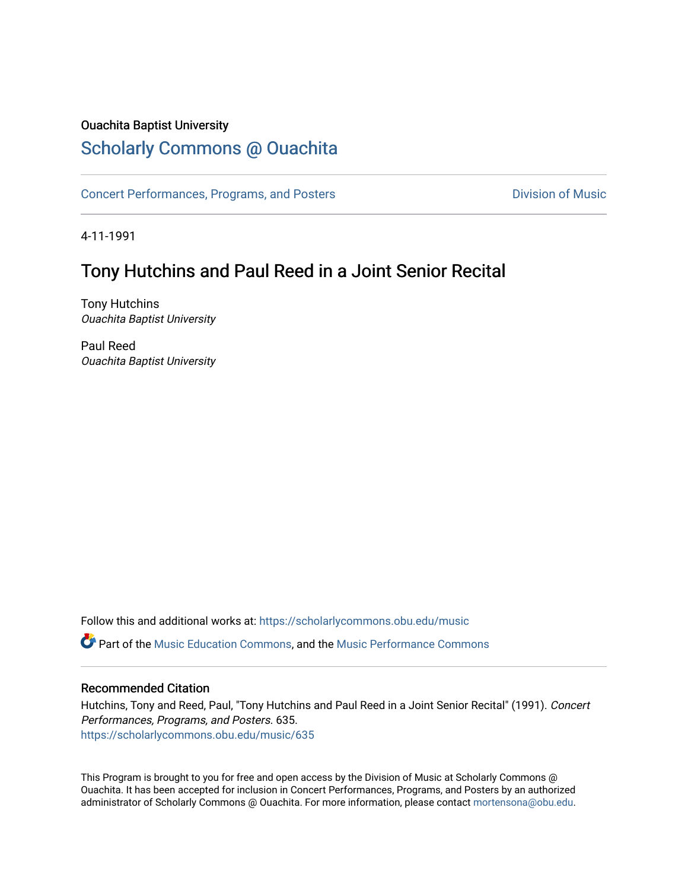#### Ouachita Baptist University

#### [Scholarly Commons @ Ouachita](https://scholarlycommons.obu.edu/)

[Concert Performances, Programs, and Posters](https://scholarlycommons.obu.edu/music) **Division of Music** Division of Music

4-11-1991

#### Tony Hutchins and Paul Reed in a Joint Senior Recital

Tony Hutchins Ouachita Baptist University

Paul Reed Ouachita Baptist University

Follow this and additional works at: [https://scholarlycommons.obu.edu/music](https://scholarlycommons.obu.edu/music?utm_source=scholarlycommons.obu.edu%2Fmusic%2F635&utm_medium=PDF&utm_campaign=PDFCoverPages) 

Part of the [Music Education Commons,](http://network.bepress.com/hgg/discipline/1246?utm_source=scholarlycommons.obu.edu%2Fmusic%2F635&utm_medium=PDF&utm_campaign=PDFCoverPages) and the [Music Performance Commons](http://network.bepress.com/hgg/discipline/1128?utm_source=scholarlycommons.obu.edu%2Fmusic%2F635&utm_medium=PDF&utm_campaign=PDFCoverPages) 

#### Recommended Citation

Hutchins, Tony and Reed, Paul, "Tony Hutchins and Paul Reed in a Joint Senior Recital" (1991). Concert Performances, Programs, and Posters. 635. [https://scholarlycommons.obu.edu/music/635](https://scholarlycommons.obu.edu/music/635?utm_source=scholarlycommons.obu.edu%2Fmusic%2F635&utm_medium=PDF&utm_campaign=PDFCoverPages) 

This Program is brought to you for free and open access by the Division of Music at Scholarly Commons @ Ouachita. It has been accepted for inclusion in Concert Performances, Programs, and Posters by an authorized administrator of Scholarly Commons @ Ouachita. For more information, please contact [mortensona@obu.edu](mailto:mortensona@obu.edu).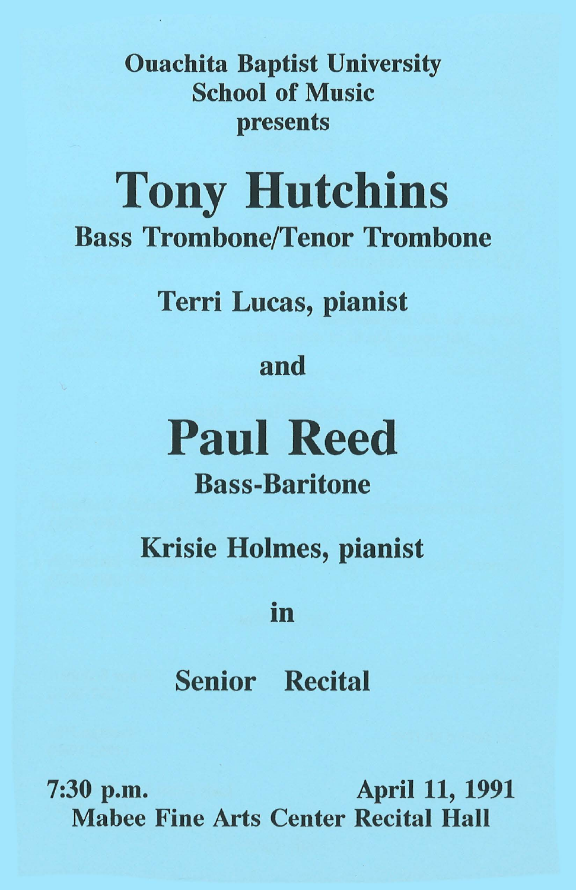Ouachita Baptist University School of Music presents

# Tony Hutchins Bass Trombone/Tenor Trombone

Terri Lucas, pianist

## and

# **Paul** Reed

# Bass-Baritone

Krisie Holmes, pianist

## • In

Senior Recital

7:30 p.m. April 11, 1991 Mabee Fine Arts Center Recital Hall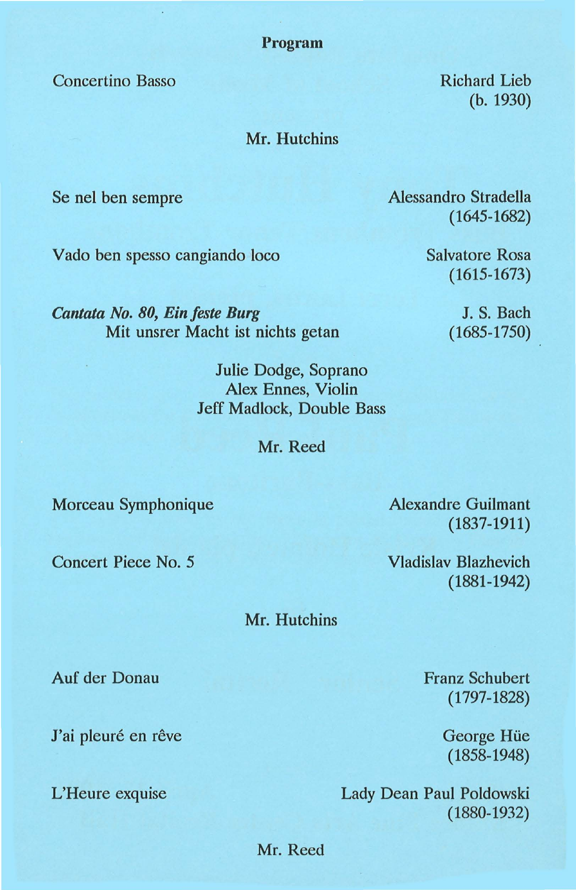Program

Concertina Basso

Richard Lieb (b. 1930)

#### Mr. Hutchins

Se nel ben sempre

Alessandro Stradella (1645-1682)

Vado ben spesso cangiando loco

Salvatore Rosa (1615-1673)

> J. S. Bach (1685-1750)

*Cantata No. 80, Ein feste Burg*  Mit unsrer Macht ist nichts getan

> Julie Dodge, Soprano Alex Ennes, Violin Jeff Madlock, Double Bass

> > Mr. Reed

Marceau Symphonique

Concert Piece No.5

Mr. Hutchins

Auf der Donau

J'ai pleuré en rêve

Alexandre Guilmant (1837-1911)

Vladislav Blazhevich (1881-1942)

Franz Schubert (1797-1828)

> George Hiie (1858-1948)

L'Heure exquise Lady Dean Paul Poldowski (1880-1932)

Mr. Reed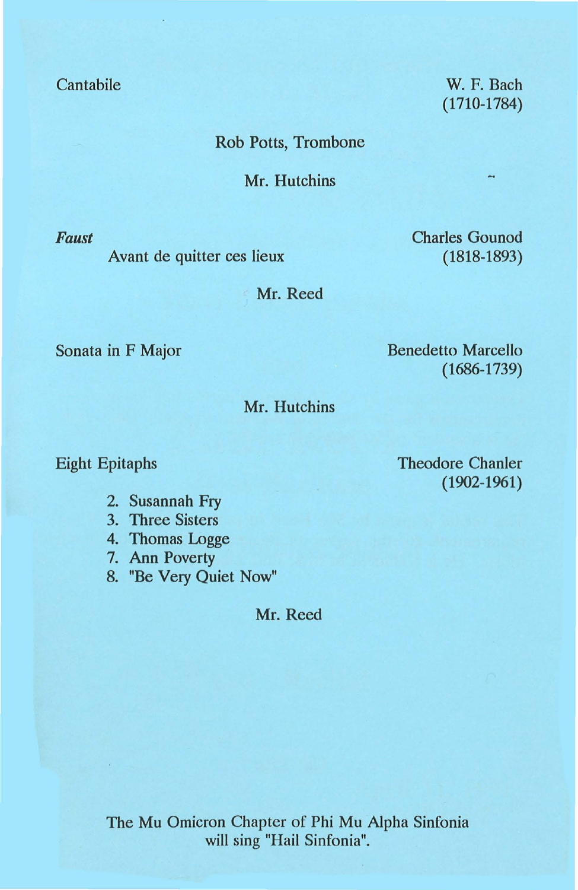Cantabile

Rob Potts, Trombone

Mr. Hutchins

*Faust* 

Avant de quitter ces lieux

Charles Gounod (1818-1893)

W. F. Bach (1710-1784)

Mr. Reed

Sonata in F Major

Benedetto Marcello (1686-1739)

Mr. Hutchins

Eight Epitaphs

2. Susannah Fry

3. Three Sisters

4. Thomas Logge

7. Ann Poverty

8. "Be Very Quiet Now"

Mr. Reed

Theodore Chanler (1902-1961)

The Mu Omicron Chapter of Phi Mu Alpha Sinfonia will sing "Hail Sinfonia".